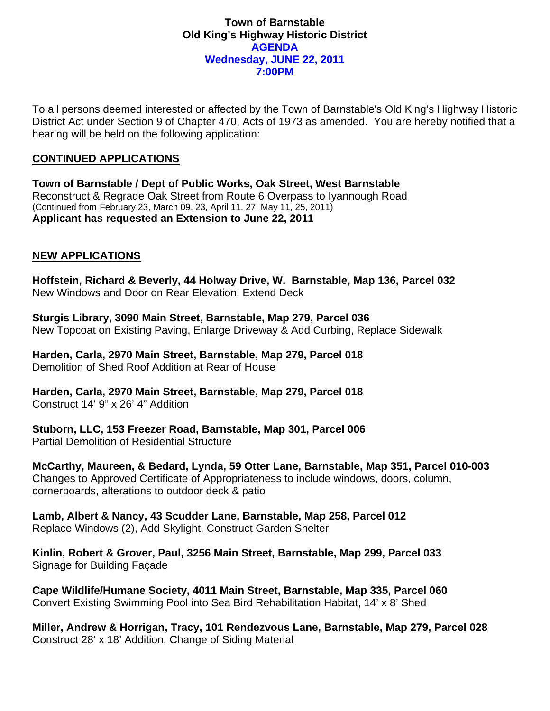### **Town of Barnstable Old King's Highway Historic District AGENDA Wednesday, JUNE 22, 2011 7:00PM**

To all persons deemed interested or affected by the Town of Barnstable's Old King's Highway Historic District Act under Section 9 of Chapter 470, Acts of 1973 as amended. You are hereby notified that a hearing will be held on the following application:

# **CONTINUED APPLICATIONS**

**Town of Barnstable / Dept of Public Works, Oak Street, West Barnstable**  Reconstruct & Regrade Oak Street from Route 6 Overpass to Iyannough Road (Continued from February 23, March 09, 23, April 11, 27, May 11, 25, 2011) **Applicant has requested an Extension to June 22, 2011** 

# **NEW APPLICATIONS**

**Hoffstein, Richard & Beverly, 44 Holway Drive, W. Barnstable, Map 136, Parcel 032**  New Windows and Door on Rear Elevation, Extend Deck

**Sturgis Library, 3090 Main Street, Barnstable, Map 279, Parcel 036**  New Topcoat on Existing Paving, Enlarge Driveway & Add Curbing, Replace Sidewalk

**Harden, Carla, 2970 Main Street, Barnstable, Map 279, Parcel 018**  Demolition of Shed Roof Addition at Rear of House

**Harden, Carla, 2970 Main Street, Barnstable, Map 279, Parcel 018**  Construct 14' 9" x 26' 4" Addition

**Stuborn, LLC, 153 Freezer Road, Barnstable, Map 301, Parcel 006**  Partial Demolition of Residential Structure

**McCarthy, Maureen, & Bedard, Lynda, 59 Otter Lane, Barnstable, Map 351, Parcel 010-003**  Changes to Approved Certificate of Appropriateness to include windows, doors, column, cornerboards, alterations to outdoor deck & patio

**Lamb, Albert & Nancy, 43 Scudder Lane, Barnstable, Map 258, Parcel 012**  Replace Windows (2), Add Skylight, Construct Garden Shelter

**Kinlin, Robert & Grover, Paul, 3256 Main Street, Barnstable, Map 299, Parcel 033**  Signage for Building Façade

**Cape Wildlife/Humane Society, 4011 Main Street, Barnstable, Map 335, Parcel 060**  Convert Existing Swimming Pool into Sea Bird Rehabilitation Habitat, 14' x 8' Shed

**Miller, Andrew & Horrigan, Tracy, 101 Rendezvous Lane, Barnstable, Map 279, Parcel 028**  Construct 28' x 18' Addition, Change of Siding Material